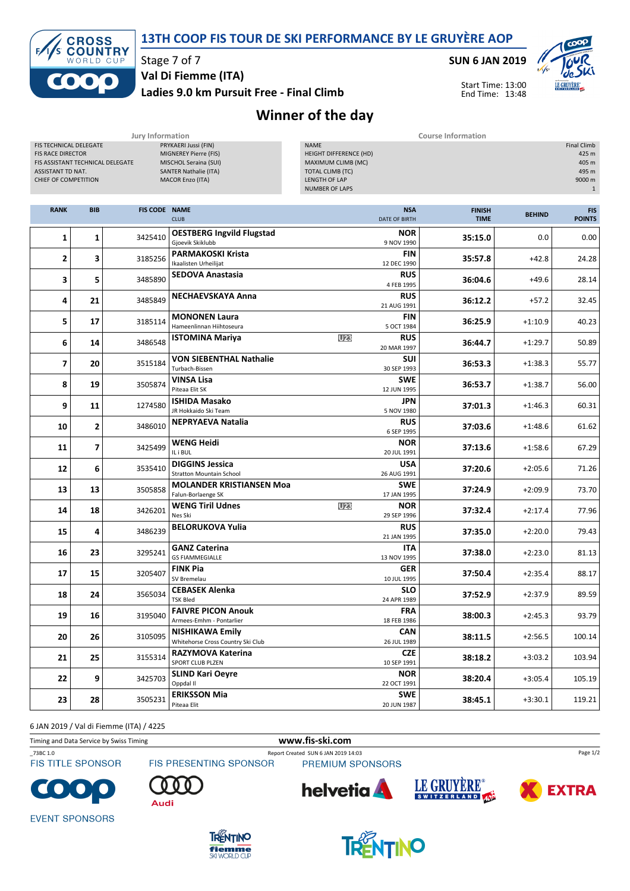



Stage 7 of 7 Val Di Fiemme (ITA)

Ladies 9.0 km Pursuit Free - Final Climb

SUN 6 JAN 2019

Start Time: 13:00 End Time: 13:48



Winner of the day

|                                                                                                                                     |                | <b>Jury Information</b> |                                                                                                                                   | <b>Course Information</b>                                                                                                        |                              |               |                                                                         |
|-------------------------------------------------------------------------------------------------------------------------------------|----------------|-------------------------|-----------------------------------------------------------------------------------------------------------------------------------|----------------------------------------------------------------------------------------------------------------------------------|------------------------------|---------------|-------------------------------------------------------------------------|
| FIS TECHNICAL DELEGATE<br><b>FIS RACE DIRECTOR</b><br>FIS ASSISTANT TECHNICAL DELEGATE<br>ASSISTANT TD NAT.<br>CHIEF OF COMPETITION |                |                         | PRYKAERI Jussi (FIN)<br>MIGNEREY Pierre (FIS)<br>MISCHOL Seraina (SUI)<br><b>SANTER Nathalie (ITA)</b><br><b>MACOR Enzo (ITA)</b> | <b>NAME</b><br>HEIGHT DIFFERENCE (HD)<br>MAXIMUM CLIMB (MC)<br><b>TOTAL CLIMB (TC)</b><br>LENGTH OF LAP<br><b>NUMBER OF LAPS</b> |                              |               | <b>Final Climb</b><br>425 m<br>405 m<br>495 m<br>9000 m<br>$\mathbf{1}$ |
| <b>RANK</b>                                                                                                                         | <b>BIB</b>     | <b>FIS CODE NAME</b>    | <b>CLUB</b>                                                                                                                       | <b>NSA</b><br>DATE OF BIRTH                                                                                                      | <b>FINISH</b><br><b>TIME</b> | <b>BEHIND</b> | <b>FIS</b><br><b>POINTS</b>                                             |
| 1                                                                                                                                   | $\mathbf{1}$   | 3425410                 | <b>OESTBERG Ingvild Flugstad</b><br>Gjoevik Skiklubb                                                                              | <b>NOR</b><br>9 NOV 1990                                                                                                         | 35:15.0                      | 0.0           | 0.00                                                                    |
| $\overline{2}$                                                                                                                      | 3              | 3185256                 | <b>PARMAKOSKI Krista</b><br>Ikaalisten Urheilijat                                                                                 | <b>FIN</b><br>12 DEC 1990                                                                                                        | 35:57.8                      | $+42.8$       | 24.28                                                                   |
| 3                                                                                                                                   | 5              | 3485890                 | <b>SEDOVA Anastasia</b>                                                                                                           | <b>RUS</b><br>4 FEB 1995                                                                                                         | 36:04.6                      | $+49.6$       | 28.14                                                                   |
| 4                                                                                                                                   | 21             | 3485849                 | <b>NECHAEVSKAYA Anna</b>                                                                                                          | <b>RUS</b><br>21 AUG 1991                                                                                                        | 36:12.2                      | $+57.2$       | 32.45                                                                   |
| 5                                                                                                                                   | 17             | 3185114                 | <b>MONONEN Laura</b><br>Hameenlinnan Hiihtoseura                                                                                  | <b>FIN</b><br>5 OCT 1984                                                                                                         | 36:25.9                      | $+1:10.9$     | 40.23                                                                   |
| 6                                                                                                                                   | 14             | 3486548                 | <b>ISTOMINA Mariya</b>                                                                                                            | U23<br><b>RUS</b><br>20 MAR 1997                                                                                                 | 36:44.7                      | $+1:29.7$     | 50.89                                                                   |
| $\overline{\phantom{a}}$                                                                                                            | 20             | 3515184                 | <b>VON SIEBENTHAL Nathalie</b><br>Turbach-Bissen                                                                                  | <b>SUI</b><br>30 SEP 1993                                                                                                        | 36:53.3                      | $+1:38.3$     | 55.77                                                                   |
| 8                                                                                                                                   | 19             | 3505874                 | VINSA Lisa<br>Piteaa Elit SK                                                                                                      | <b>SWE</b><br>12 JUN 1995                                                                                                        | 36:53.7                      | $+1:38.7$     | 56.00                                                                   |
| 9                                                                                                                                   | 11             | 1274580                 | <b>ISHIDA Masako</b><br>JR Hokkaido Ski Team                                                                                      | <b>JPN</b><br>5 NOV 1980                                                                                                         | 37:01.3                      | $+1:46.3$     | 60.31                                                                   |
| 10                                                                                                                                  | 2              | 3486010                 | <b>NEPRYAEVA Natalia</b>                                                                                                          | <b>RUS</b><br>6 SEP 1995                                                                                                         | 37:03.6                      | $+1:48.6$     | 61.62                                                                   |
| 11                                                                                                                                  | $\overline{7}$ | 3425499                 | <b>WENG Heidi</b><br>IL i BUL                                                                                                     | <b>NOR</b><br>20 JUL 1991                                                                                                        | 37:13.6                      | $+1:58.6$     | 67.29                                                                   |
| 12                                                                                                                                  | 6              | 3535410                 | <b>DIGGINS Jessica</b><br><b>Stratton Mountain School</b>                                                                         | <b>USA</b><br>26 AUG 1991                                                                                                        | 37:20.6                      | $+2:05.6$     | 71.26                                                                   |
| 13                                                                                                                                  | 13             | 3505858                 | <b>MOLANDER KRISTIANSEN Moa</b><br>Falun-Borlaenge SK                                                                             | <b>SWE</b><br>17 JAN 1995                                                                                                        | 37:24.9                      | $+2:09.9$     | 73.70                                                                   |
| 14                                                                                                                                  | 18             | 3426201                 | <b>WENG Tiril Udnes</b><br>Nes Ski                                                                                                | U <sub>23</sub><br><b>NOR</b><br>29 SEP 1996                                                                                     | 37:32.4                      | $+2:17.4$     | 77.96                                                                   |
| 15                                                                                                                                  | 4              | 3486239                 | <b>BELORUKOVA Yulia</b>                                                                                                           | <b>RUS</b><br>21 JAN 1995                                                                                                        | 37:35.0                      | $+2:20.0$     | 79.43                                                                   |
| 16                                                                                                                                  | 23             | 3295241                 | <b>GANZ Caterina</b><br><b>GS FIAMMEGIALLE</b>                                                                                    | ITA<br>13 NOV 1995                                                                                                               | 37:38.0                      | $+2:23.0$     | 81.13                                                                   |
| 17                                                                                                                                  | 15             | 3205407                 | <b>FINK Pia</b><br>SV Bremelau                                                                                                    | <b>GER</b><br>10 JUL 1995                                                                                                        | 37:50.4                      | $+2:35.4$     | 88.17                                                                   |
| 18                                                                                                                                  | 24             | 3565034                 | <b>CEBASEK Alenka</b><br><b>TSK Bled</b>                                                                                          | <b>SLO</b><br>24 APR 1989                                                                                                        | 37:52.9                      | $+2:37.9$     | 89.59                                                                   |
| 19                                                                                                                                  | 16             | 3195040                 | <b>FAIVRE PICON Anouk</b><br>Armees-Emhm - Pontarlier                                                                             | <b>FRA</b><br>18 FEB 1986                                                                                                        | 38:00.3                      | $+2:45.3$     | 93.79                                                                   |
| 20                                                                                                                                  | 26             | 3105095                 | <b>NISHIKAWA Emily</b><br>Whitehorse Cross Country Ski Club                                                                       | <b>CAN</b><br>26 JUL 1989                                                                                                        | 38:11.5                      | $+2:56.5$     | 100.14                                                                  |
| 21                                                                                                                                  | 25             | 3155314                 | RAZYMOVA Katerina<br>SPORT CLUB PLZEN                                                                                             | <b>CZE</b><br>10 SEP 1991                                                                                                        | 38:18.2                      | $+3:03.2$     | 103.94                                                                  |
| 22                                                                                                                                  | 9              | 3425703                 | <b>SLIND Kari Oeyre</b><br>Oppdal II                                                                                              | <b>NOR</b><br>22 OCT 1991                                                                                                        | 38:20.4                      | $+3:05.4$     | 105.19                                                                  |
| 23                                                                                                                                  | 28             | 3505231                 | <b>ERIKSSON Mia</b><br>Piteaa Elit                                                                                                | <b>SWE</b><br>20 JUN 1987                                                                                                        | 38:45.1                      | $+3:30.1$     | 119.21                                                                  |

6 JAN 2019 / Val di Fiemme (ITA) / 4225

Timing and Data Service by Swiss Timing www.fis-ski.com

\_73BC 1.0 Report Created SUN 6 JAN 2019 14:03 **FIS TITLE SPONSOR** 

FIS PRESENTING SPONSOR

PREMIUM SPONSORS



Audi







Page 1/2

**EVENT SPONSORS**